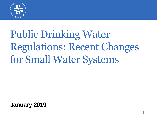

# Public Drinking Water Regulations: Recent Changes for Small Water Systems

**January 2019**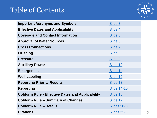## Table of Contents



| <b>Important Acronyms and Symbols</b>                    | Slide 3             |
|----------------------------------------------------------|---------------------|
| <b>Effective Dates and Applicability</b>                 | Slide 4             |
| <b>Coverage and Contact Information</b>                  | Slide 5             |
| <b>Approval of Water Sources</b>                         | Slide 6             |
| <b>Cross Connections</b>                                 | Slide 7             |
| <b>Flushing</b>                                          | Slide 8             |
| <b>Pressure</b>                                          | Slide 9             |
| <b>Auxiliary Power</b>                                   | Slide 10            |
| <b>Emergencies</b>                                       | Slide 11            |
| <b>Well Labeling</b>                                     | Slide 12            |
| <b>Reporting Priority Results</b>                        | Slide 13            |
| <b>Reporting</b>                                         | <b>Slide 14-15</b>  |
| <b>Coliform Rule - Effective Dates and Applicability</b> | Slide 16            |
| <b>Coliform Rule - Summary of Changes</b>                | Slide 17            |
| <b>Coliform Rule - Details</b>                           | <b>Slides 18-30</b> |
| <b>Citations</b>                                         | <b>Slides 31-33</b> |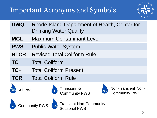## <span id="page-2-0"></span>Important Acronyms and Symbols



| <b>DWQ</b>     | Rhode Island Department of Health, Center for<br><b>Drinking Water Quality</b>        |
|----------------|---------------------------------------------------------------------------------------|
| <b>MCL</b>     | <b>Maximum Contaminant Level</b>                                                      |
| <b>PWS</b>     | <b>Public Water System</b>                                                            |
| <b>RTCR</b>    | <b>Revised Total Coliform Rule</b>                                                    |
| <b>TC</b>      | <b>Total Coliform</b>                                                                 |
| TC+            | <b>Total Coliform Present</b>                                                         |
| <b>TCR</b>     | <b>Total Coliform Rule</b>                                                            |
| <b>All PWS</b> | <b>Transient Non-<br/>Community PWS</b><br>Non-Transient Non-<br><b>Community PWS</b> |



Seasonal PWS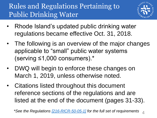## <span id="page-3-0"></span>Rules and Regulations Pertaining to Public Drinking Water



- Rhode Island's updated public drinking water regulations became effective Oct. 31, 2018.
- The following is an overview of the major changes applicable to "small" public water systems (serving ≤1,000 consumers).\*
- DWQ will begin to enforce these changes on March 1, 2019, unless otherwise noted.
- Citations listed throughout this document reference sections of the regulations and are listed at the end of the document (pages 31-33).

*\*See the Regulations [\[216-RICR-50-05-1\]](https://rules.sos.ri.gov/regulations/part/216-50-05-1) for the full set of requirements* 4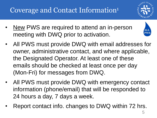## <span id="page-4-0"></span>Coverage and Contact Information<sup>1</sup>

- 
- New PWS are required to attend an in-person meeting with DWQ prior to activation.



- All PWS must provide DWQ with email addresses for owner, administrative contact, and where applicable, the Designated Operator. At least one of these emails should be checked at least once per day (Mon-Fri) for messages from DWQ.
- All PWS must provide DWQ with emergency contact information (phone/email) that will be responded to 24 hours a day, 7 days a week.
- Report contact info. changes to DWQ within 72 hrs.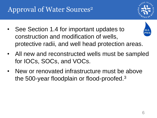## <span id="page-5-0"></span>Approval of Water Sources<sup>2</sup>



See Section 1.4 for important updates to construction and modification of wells, protective radii, and well head protection areas.



- All new and reconstructed wells must be sampled for IOCs, SOCs, and VOCs.
- New or renovated infrastructure must be above the 500-year floodplain or flood-proofed.<sup>3</sup>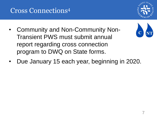## <span id="page-6-0"></span>Cross Connections<sup>4</sup>

- Community and Non-Community Non-Transient PWS must submit annual report regarding cross connection program to DWQ on State forms.
- Due January 15 each year, beginning in 2020.

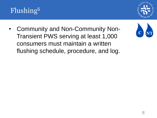## <span id="page-7-0"></span>Flushing<sup>5</sup>



• Community and Non-Community Non-Transient PWS serving at least 1,000 consumers must maintain a written flushing schedule, procedure, and log.

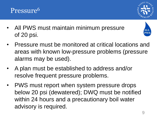- All PWS must maintain minimum pressure of 20 psi.
- Pressure must be monitored at critical locations and areas with known low-pressure problems (pressure alarms may be used).
- A plan must be established to address and/or resolve frequent pressure problems.
- PWS must report when system pressure drops below 20 psi (dewatered); DWQ must be notified within 24 hours and a precautionary boil water advisory is required.



<span id="page-8-0"></span>

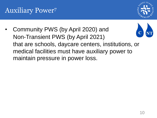

<span id="page-9-0"></span>• Community PWS (by April 2020) and Non-Transient PWS (by April 2021) that are schools, daycare centers, institutions, or medical facilities must have auxiliary power to maintain pressure in power loss.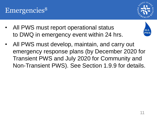- All PWS must report operational status to DWQ in emergency event within 24 hrs.
- All PWS must develop, maintain, and carry out emergency response plans (by December 2020 for Transient PWS and July 2020 for Community and Non-Transient PWS). See Section 1.9.9 for details.

<span id="page-10-0"></span>



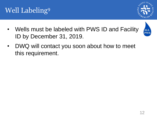

<span id="page-11-0"></span>• Wells must be labeled with PWS ID and Facility ID by December 31, 2019.



• DWQ will contact you soon about how to meet this requirement.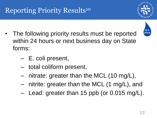## <span id="page-12-0"></span>Reporting Priority Results<sup>10</sup>

- The following priority results must be reported within 24 hours or next business day on State forms:
	- E. coli present,
	- total coliform present,
	- nitrate: greater than the MCL (10 mg/L),
	- nitrite: greater than the MCL (1 mg/L), and
	- Lead: greater than 15 ppb (or 0.015 mg/L).



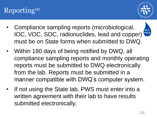## <span id="page-13-0"></span>Reporting<sup>10</sup>



ALL **PWS** 

- Compliance sampling reports (microbiological, IOC, VOC, SOC, radionuclides, lead and copper) must be on State forms when submitted to DWQ.
- Within 180 days of being notified by DWQ, all compliance sampling reports and monthly operating reports must be submitted to DWQ electronically from the lab. Reports must be submitted in a manner compatible with DWQ's computer system.
- If not using the State lab, PWS must enter into a written agreement with their lab to have results submitted electronically.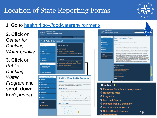## Location of State Reporting Forms



#### **1.** Go to [health.ri.gov/foodwaterenvironment/](http://health.ri.gov/foodwaterenvironment/)

**2. Click** on *Center for Drinking Water Quality*

**3. Click** on *Public Drinking Water Program* and **scroll down**  to *Reporting*



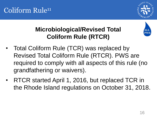

## <span id="page-15-0"></span>**Microbiological/Revised Total Coliform Rule (RTCR)**



- Total Coliform Rule (TCR) was replaced by Revised Total Coliform Rule (RTCR). PWS are required to comply with all aspects of this rule (no grandfathering or waivers).
- RTCR started April 1, 2016, but replaced TCR in the Rhode Island regulations on October 31, 2018.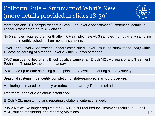#### <span id="page-16-0"></span>Coliform Rule – Summary of What's New (more details provided in slides 18-30)



More than one TC+ sample triggers a Level 1 or Level 2 Assessment ("Treatment Technique Trigger") rather than an MCL violation.

No 5 samples required the month after TC+ sample; instead, 3 samples if on quarterly sampling or normal monthly schedule if on monthly sampling.

Level 1 and Level 2 Assessment triggers established. Level 1 must be submitted to DWQ within 10 days of learning of a trigger; Level 2 within 30 days of trigger.

DWQ must be notified of any E. coli positive sample, an E. coli MCL violation, or any Treatment Technique Trigger by the end of that day.

PWS need up-to-date sampling plans; plans to be evaluated during sanitary surveys.

Seasonal systems must certify completion of state-approved start-up procedure.

Monitoring increased to monthly or reduced to quarterly if certain criteria met.

Treatment Technique violations established.

E. Coli MCL, monitoring, and reporting violations: criteria changed.

Public Notice: No longer required for TC MCLs but required for Treatment Technique, E. coli MCL, routine monitoring, and reporting violations.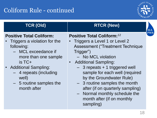

<span id="page-17-0"></span>

| <b>TCR (Old)</b>                                                                                                                                                                                                                                | <b>RTCR (New)</b>                                                                                                                                                                                                                                                                                                                                                                                                                                             | <b>ALL</b> |
|-------------------------------------------------------------------------------------------------------------------------------------------------------------------------------------------------------------------------------------------------|---------------------------------------------------------------------------------------------------------------------------------------------------------------------------------------------------------------------------------------------------------------------------------------------------------------------------------------------------------------------------------------------------------------------------------------------------------------|------------|
| <b>Positive Total Coliform:</b><br>Triggers a violation for the<br>following:<br>- MCL exceedance if<br>more than one sample<br>$is TC+$<br>• Additional Sampling:<br>- 4 repeats (including<br>well)<br>- 5 routine samples the<br>month after | <b>Positive Total Coliform:</b> <sup>12</sup><br>Triggers a Level 1 or Level 2<br><b>Assessment ("Treatment Technique</b><br>Trigger")<br>- No MCL violation<br><b>Additional Sampling:</b><br>$\bullet$<br>$-$ 3 repeats $+$ 1 triggered well<br>sample for each well (required<br>by the Groundwater Rule)<br>- 3 routine samples the month<br>after (if on quarterly sampling)<br>- Normal monthly schedule the<br>month after (if on monthly<br>sampling) | <b>PWS</b> |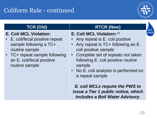

#### **E. Coli MCL Violation:**

- E. coli/fecal positive repeat sample following a TC+ routine sample
- TC+ repeat sample following an E. coli/fecal positive routine sample

#### **TCR (Old)**  RTCR (New)

#### **E. Coli MCL Violation:**<sup>13</sup>

- Any repeat is E. coli positive
- Any repeat is TC+ following an E. coli positive sample
- Complete set of repeats not taken following E. coli positive routine sample
- No E. coli analysis is performed on a repeat sample

*E. coli MCLs require the PWS to issue a Tier 1 public notice, which includes a Boil Water Advisory.*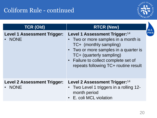

| <b>TCR (Old)</b>                             | <b>RTCR (New)</b>                                                                                                                                                                                                                                               |
|----------------------------------------------|-----------------------------------------------------------------------------------------------------------------------------------------------------------------------------------------------------------------------------------------------------------------|
| <b>Level 1 Assessment Trigger:</b><br>• NONE | Level 1 Assessment Trigger: <sup>14</sup><br>• Two or more samples in a month is<br>TC+ (monthly sampling)<br>• Two or more samples in a quarter is<br>TC+ (quarterly sampling)<br>• Failure to collect complete set of<br>repeats following TC+ routine result |
| <b>Level 2 Assessment Trigger:</b><br>• NONE | Level 2 Assessment Trigger: <sup>14</sup><br>• Two Level 1 triggers in a rolling 12-<br>month period<br>• E. coli MCL violation                                                                                                                                 |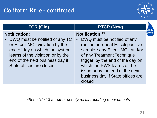

#### **Notification:**

• DWQ must be notified of any TC or E. coli MCL violation by the end of day on which the system learns of the violation or by the end of the next business day if State offices are closed

#### **TCR (Old) RTCR (New)**

#### **Notification:**<sup>15</sup>

• DWQ must be notified of any routine or repeat E. coli positive sample,\* any E. coli MCL and/or of any Treatment Technique trigger, by the end of the day on which the PWS learns of the issue or by the end of the next business day if State offices are closed

*\*See slide 13 for other priority result reporting requirements*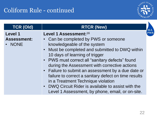

| <b>TCR (Old)</b>   | <b>RTCR (New)</b>                                                                                       |     |
|--------------------|---------------------------------------------------------------------------------------------------------|-----|
| <b>Level 1</b>     | Level 1 Assessment: <sup>16</sup>                                                                       | PWS |
| <b>Assessment:</b> | • Can be completed by PWS or someone                                                                    |     |
| • NONE             | knowledgeable of the system                                                                             |     |
|                    | • Must be completed and submitted to DWQ within                                                         |     |
|                    | 10 days of learning of trigger                                                                          |     |
|                    | • PWS must correct all "sanitary defects" found                                                         |     |
|                    | during the Assessment with corrective actions                                                           |     |
|                    | • Failure to submit an assessment by a due date or                                                      |     |
|                    | failure to correct a sanitary defect on time results                                                    |     |
|                    | in a Treatment Technique violation                                                                      |     |
|                    | • DWQ Circuit Rider is available to assist with the<br>Level 1 Assessment, by phone, email, or on-site. |     |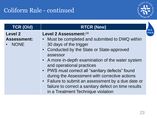

| <b>TCR (Old)</b>                  | <b>RTCR (New)</b>                                                                                                                                                                                                                                                                                                                                                                                                                                                             |     |
|-----------------------------------|-------------------------------------------------------------------------------------------------------------------------------------------------------------------------------------------------------------------------------------------------------------------------------------------------------------------------------------------------------------------------------------------------------------------------------------------------------------------------------|-----|
| Level 2                           | Level 2 Assessment: 16                                                                                                                                                                                                                                                                                                                                                                                                                                                        | PWS |
| <b>Assessment:</b><br><b>NONE</b> | • Must be completed and submitted to DWQ within<br>30 days of the trigger<br>• Conducted by the State or State-approved<br>assessor<br>• A more in-depth examination of the water system<br>and operational practices<br>• PWS must correct all "sanitary defects" found<br>during the Assessment with corrective actions<br>• Failure to submit an assessment by a due date or<br>failure to correct a sanitary defect on time results<br>in a Treatment Technique violation |     |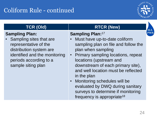

#### **Sampling Plan:**

Sampling sites that are representative of the distribution system are identified and the monitoring periods according to a sample siting plan

#### **TCR (Old) RTCR (New)**

#### **Sampling Plan:**<sup>17</sup>

- Must have up-to-date coliform sampling plan on file and follow the plan when sampling
- Primary sampling locations, repeat locations (upstream and downstream of each primary site), and well location must be reflected in the plan
- Monitoring schedules will be evaluated by DWQ during sanitary surveys to determine if monitoring frequency is appropriate<sup>18</sup>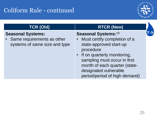

#### **Seasonal Systems:**

Same requirements as other systems of same size and type

#### **TCR (Old) RTCR (New)**

#### **Seasonal Systems:**<sup>19</sup>

- Must certify completion of a state-approved start-up procedure
- If on quarterly monitoring, sampling must occur in first month of each quarter (statedesignated vulnerable period/period of high demand)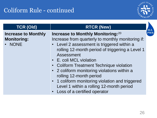

| <b>TCR (Old)</b>                                           | <b>RTCR (New)</b>                                                                                                                                                                                                                                                                                                                                                                                                                                                                        |            |
|------------------------------------------------------------|------------------------------------------------------------------------------------------------------------------------------------------------------------------------------------------------------------------------------------------------------------------------------------------------------------------------------------------------------------------------------------------------------------------------------------------------------------------------------------------|------------|
| <b>Increase to Monthly</b><br><b>Monitoring:</b><br>• NONE | Increase to Monthly Monitoring: 20<br>Increase from quarterly to monthly monitoring if:<br>• Level 2 assessment is triggered within a<br>rolling 12-month period of triggering a Level 1<br>Assessment<br>• E. coli MCL violation<br>• Coliform Treatment Technique violation<br>• 2 coliform monitoring violations within a<br>rolling 12-month period<br>• 1 coliform monitoring violation and triggered<br>Level 1 within a rolling 12-month period<br>• Loss of a certified operator | <b>PWS</b> |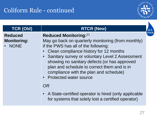

| <b>TCR (Old)</b>                               | <b>RTCR (New)</b>                                                                                                                                                                                                                                                                                                                                                                                                                                                                                                   |            |
|------------------------------------------------|---------------------------------------------------------------------------------------------------------------------------------------------------------------------------------------------------------------------------------------------------------------------------------------------------------------------------------------------------------------------------------------------------------------------------------------------------------------------------------------------------------------------|------------|
| <b>Reduced</b><br><b>Monitoring:</b><br>• NONE | <b>Reduced Monitoring:</b> 21<br>May go back on quarterly monitoring (from monthly)<br>if the PWS has all of the following:<br>Clean compliance history for 12 months<br>• Sanitary survey or voluntary Level 2 Assessment<br>showing no sanitary defects (or has approved<br>plan and schedule to correct them and is in<br>compliance with the plan and schedule)<br>• Protected water source<br>OR<br>A State-certified operator is hired (only applicable<br>for systems that solely lost a certified operator) | <b>PWS</b> |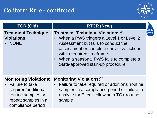

| <b>TCR (Old)</b>                                                                                                                            | <b>RTCR (New)</b>                                                                                                                                                                                                                                                                        |            |
|---------------------------------------------------------------------------------------------------------------------------------------------|------------------------------------------------------------------------------------------------------------------------------------------------------------------------------------------------------------------------------------------------------------------------------------------|------------|
| <b>Treatment Technique</b><br><b>Violations:</b><br><b>NONE</b>                                                                             | <b>Treatment Technique Violations:</b> 22<br>When a PWS triggers a Level 1 or Level 2<br>Assessment but fails to conduct the<br>assessment or complete corrective actions<br>within required timeframe<br>• When a seasonal PWS fails to complete a<br>State-approved start-up procedure | <b>PWS</b> |
| <b>Monitoring Violations:</b><br>• Failure to take<br>required/additional<br>routine samples or<br>repeat samples in a<br>compliance period | <b>Monitoring Violations:</b> 23<br>Failure to take required or additional routine<br>samples in a compliance period or failure to<br>analyze for E. coli following a TC+ routine<br>sample                                                                                              |            |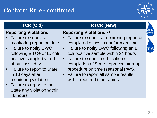

#### **Reporting Violations:**

- Failure to submit a monitoring report on time
- Failure to notify DWQ following a TC+ or E. coli positive sample by end of business day
- Failure to report to State in 10 days after monitoring violation
- Failure to report to the State any violation within 48 hours

#### **TCR (Old) RTCR (New)**

#### **Reporting Violations:**<sup>24</sup>

- Failure to submit a monitoring report or completed assessment form on time
- Failure to notify DWQ following an E. coli positive sample within 24 hours
- Failure to submit certification of completion of State-approved start-up procedure on time (seasonal PWS)
- Failure to report all sample results within required timeframes

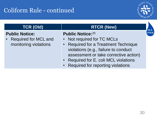

| <b>TCR (Old)</b>                                                         | <b>RTCR (New)</b>                                                                                                                                                                                                                                               |            |
|--------------------------------------------------------------------------|-----------------------------------------------------------------------------------------------------------------------------------------------------------------------------------------------------------------------------------------------------------------|------------|
| <b>Public Notice:</b><br>• Required for MCL and<br>monitoring violations | <b>Public Notice: 25</b><br>• Not required for TC MCLs<br>• Required for a Treatment Technique<br>violations (e.g., failure to conduct<br>assessment or take corrective action)<br>• Required for E. coli MCL violations<br>• Required for reporting violations | <b>PWS</b> |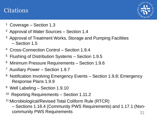#### <span id="page-30-0"></span>**Citations**



- <sup>1</sup> Coverage Section 1.3
- <sup>2</sup> Approval of Water Sources Section 1.4
- Approval of Treatment Works, Storage and Pumping Facilities – Section 1.5
- <sup>4</sup>Cross-Connection Control Section 1.9.4
- <sup>5</sup> Flushing of Distribution Systems Section 1.9.5
- <sup>6</sup> Minimum Pressure Requirements Section 1.9.6
- <sup>7</sup> Auxiliary Power Section 1.9.7
- <sup>8</sup> Notification Involving Emergency Events Section 1.9.8; Emergency Response Plans 1.9.9
- <sup>9</sup> Well Labeling Section 1.9.10
- <sup>10</sup> Reporting Requirements Section 1.11.2
- <sup>11</sup> Microbiological/Revised Total Coliform Rule (RTCR)

– Sections 1.16.4 (Community PWS Requirements) and 1.17.1 (Noncommunity PWS Requirements 31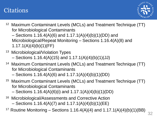#### **Citations**



- <sup>12</sup> Maximum Contaminant Levels (MCLs) and Treatment Technique (TT) for Microbiological Contaminants
	- Sections 1.16.4(A)(6) and 1.17.1(A)(4)(b)(1)(DD) and Microbiological/Repeat Monitoring – Sections 1.16.4(A)(8) and 1.17.1(A)(4)(b)(1)(FF)
- <sup>13</sup> Microbiological/Violation Types  $-$  Sections 1.16.4(A)(15) and 1.17.1(A)(4)(b)(1)(JJ)
- <sup>14</sup> Maximum Contaminant Levels (MCLs) and Treatment Technique (TT) for Microbiological Contaminants  $-$  Sections 1.16.4(A)(6) and 1.17.1(A)(4)(b)(1)(DD)
- <sup>15</sup> Maximum Contaminant Levels (MCLs) and Treatment Technique (TT) for Microbiological Contaminants

– Sections 1.16.4(A)(6)(i) and 1.17.1(A)(4)(b)(1)(DD)

- <sup>16</sup> Microbiological/Assessments and Corrective Action  $-$  Sections 1.16.4(A)(7) and 1.17.1(A)(4)(b)(1)(EE)
- <sup>17</sup> Routine Monitoring Sections 1.16.4(A)(4) and  $1.17.1(A)(4)(b)(1)(BB)$